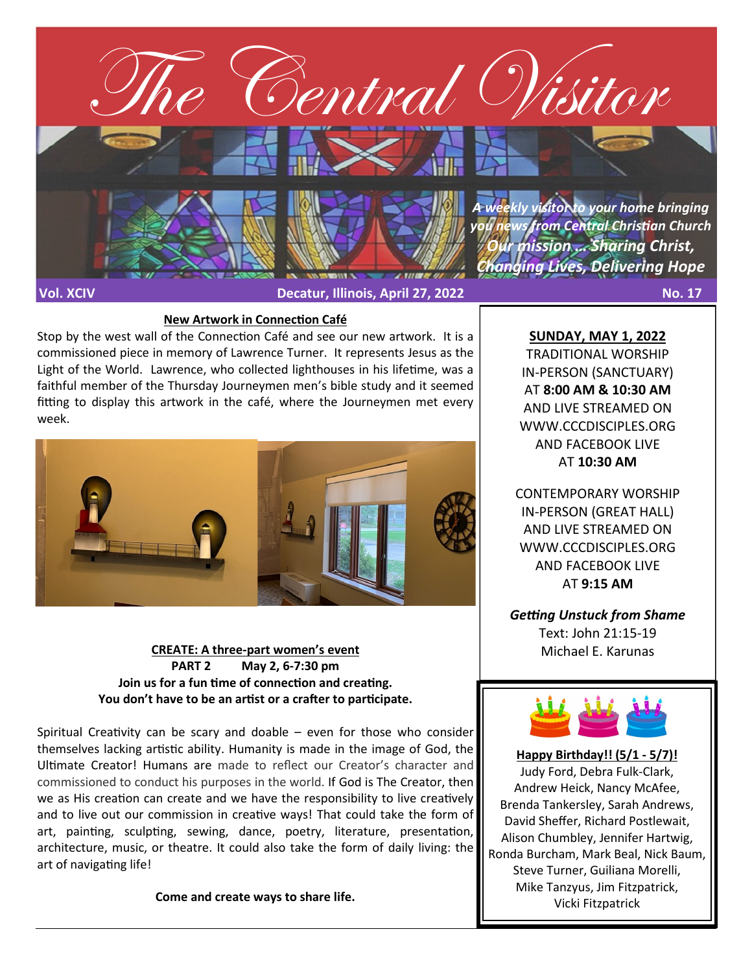

#### **New Artwork in Connection Café**

Stop by the west wall of the Connection Café and see our new artwork. It is a commissioned piece in memory of Lawrence Turner. It represents Jesus as the Light of the World. Lawrence, who collected lighthouses in his lifetime, was a faithful member of the Thursday Journeymen men's bible study and it seemed fitting to display this artwork in the café, where the Journeymen met every week.



## **CREATE: A three-part women's event PART 2 May 2, 6-7:30 pm Join us for a fun time of connection and creating. You don't have to be an artist or a crafter to participate.**

Spiritual Creativity can be scary and doable – even for those who consider themselves lacking artistic ability. Humanity is made in the image of God, the Ultimate Creator! Humans are made to reflect our Creator's character and commissioned to conduct his purposes in the world. If God is The Creator, then we as His creation can create and we have the responsibility to live creatively and to live out our commission in creative ways! That could take the form of art, painting, sculpting, sewing, dance, poetry, literature, presentation, architecture, music, or theatre. It could also take the form of daily living: the art of navigating life!

**Come and create ways to share life.**

**SUNDAY, MAY 1, 2022** TRADITIONAL WORSHIP IN-PERSON (SANCTUARY) AT **8:00 AM & 10:30 AM**  AND LIVE STREAMED ON WWW.CCCDISCIPLES.ORG AND FACEBOOK LIVE

AT **10:30 AM**

CONTEMPORARY WORSHIP IN-PERSON (GREAT HALL) AND LIVE STREAMED ON WWW.CCCDISCIPLES.ORG AND FACEBOOK LIVE AT **9:15 AM**

*Getting Unstuck from Shame* Text: John 21:15-19 Michael E. Karunas



**Happy Birthday!! (5/1 - 5/7)!** Judy Ford, Debra Fulk-Clark, Andrew Heick, Nancy McAfee, Brenda Tankersley, Sarah Andrews, David Sheffer, Richard Postlewait, Alison Chumbley, Jennifer Hartwig, Ronda Burcham, Mark Beal, Nick Baum, Steve Turner, Guiliana Morelli, Mike Tanzyus, Jim Fitzpatrick, Vicki Fitzpatrick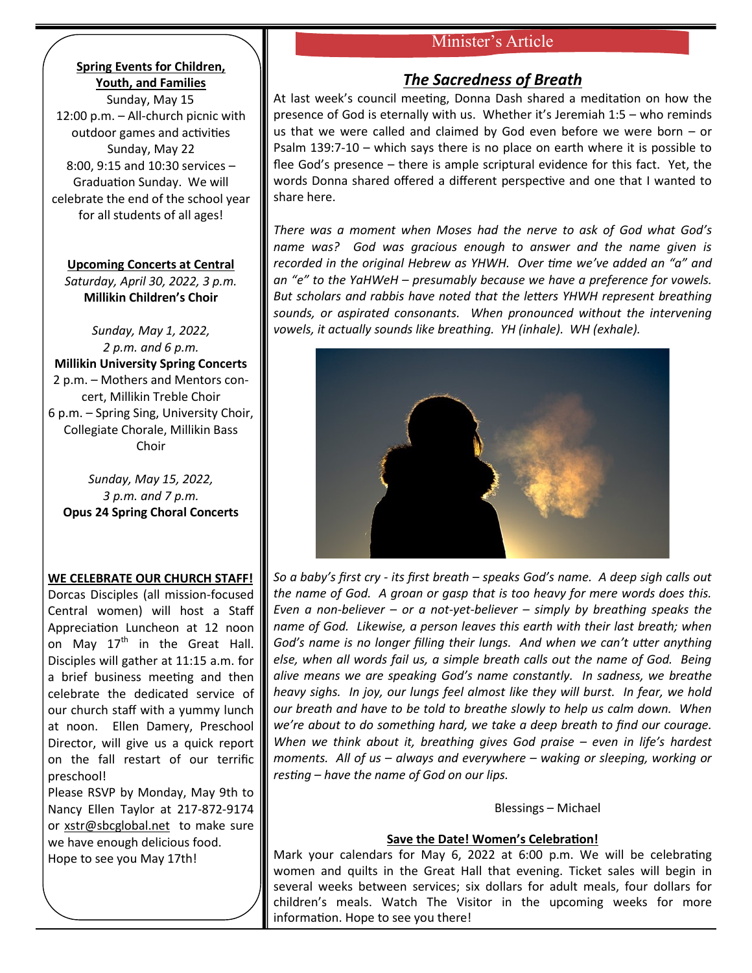# Minister's Article

## **Spring Events for Children, Youth, and Families**

Sunday, May 15 12:00 p.m. – All-church picnic with outdoor games and activities Sunday, May 22 8:00, 9:15 and 10:30 services – Graduation Sunday. We will celebrate the end of the school year for all students of all ages!

**Upcoming Concerts at Central** *Saturday, April 30, 2022, 3 p.m.* **Millikin Children's Choir**

*Sunday, May 1, 2022, 2 p.m. and 6 p.m.* **Millikin University Spring Concerts** 2 p.m. – Mothers and Mentors concert, Millikin Treble Choir 6 p.m. – Spring Sing, University Choir, Collegiate Chorale, Millikin Bass Choir

*Sunday, May 15, 2022, 3 p.m. and 7 p.m.* **Opus 24 Spring Choral Concerts**

## **WE CELEBRATE OUR CHURCH STAFF!**

Dorcas Disciples (all mission-focused Central women) will host a Staff Appreciation Luncheon at 12 noon on May  $17<sup>th</sup>$  in the Great Hall. Disciples will gather at 11:15 a.m. for a brief business meeting and then celebrate the dedicated service of our church staff with a yummy lunch at noon. Ellen Damery, Preschool Director, will give us a quick report on the fall restart of our terrific preschool!

Please RSVP by Monday, May 9th to Nancy Ellen Taylor at 217-872-9174 or [xstr@sbcglobal.net](mailto:xstr@sbcglobal.net) to make sure we have enough delicious food. Hope to see you May 17th!

# *The Sacredness of Breath*

At last week's council meeting, Donna Dash shared a meditation on how the presence of God is eternally with us. Whether it's Jeremiah 1:5 – who reminds us that we were called and claimed by God even before we were born – or Psalm 139:7-10 – which says there is no place on earth where it is possible to flee God's presence – there is ample scriptural evidence for this fact. Yet, the words Donna shared offered a different perspective and one that I wanted to share here.

*There was a moment when Moses had the nerve to ask of God what God's name was? God was gracious enough to answer and the name given is recorded in the original Hebrew as YHWH. Over time we've added an "a" and an "e" to the YaHWeH – presumably because we have a preference for vowels. But scholars and rabbis have noted that the letters YHWH represent breathing sounds, or aspirated consonants. When pronounced without the intervening vowels, it actually sounds like breathing. YH (inhale). WH (exhale).*



*So a baby's first cry - its first breath – speaks God's name. A deep sigh calls out the name of God. A groan or gasp that is too heavy for mere words does this. Even a non-believer – or a not-yet-believer – simply by breathing speaks the name of God. Likewise, a person leaves this earth with their last breath; when God's name is no longer filling their lungs. And when we can't utter anything else, when all words fail us, a simple breath calls out the name of God. Being alive means we are speaking God's name constantly. In sadness, we breathe heavy sighs. In joy, our lungs feel almost like they will burst. In fear, we hold our breath and have to be told to breathe slowly to help us calm down. When we're about to do something hard, we take a deep breath to find our courage. When we think about it, breathing gives God praise – even in life's hardest moments. All of us – always and everywhere – waking or sleeping, working or resting – have the name of God on our lips.* 

Blessings – Michael

## **Save the Date! Women's Celebration!**

Mark your calendars for May 6, 2022 at 6:00 p.m. We will be celebrating women and quilts in the Great Hall that evening. Ticket sales will begin in several weeks between services; six dollars for adult meals, four dollars for children's meals. Watch The Visitor in the upcoming weeks for more information. Hope to see you there!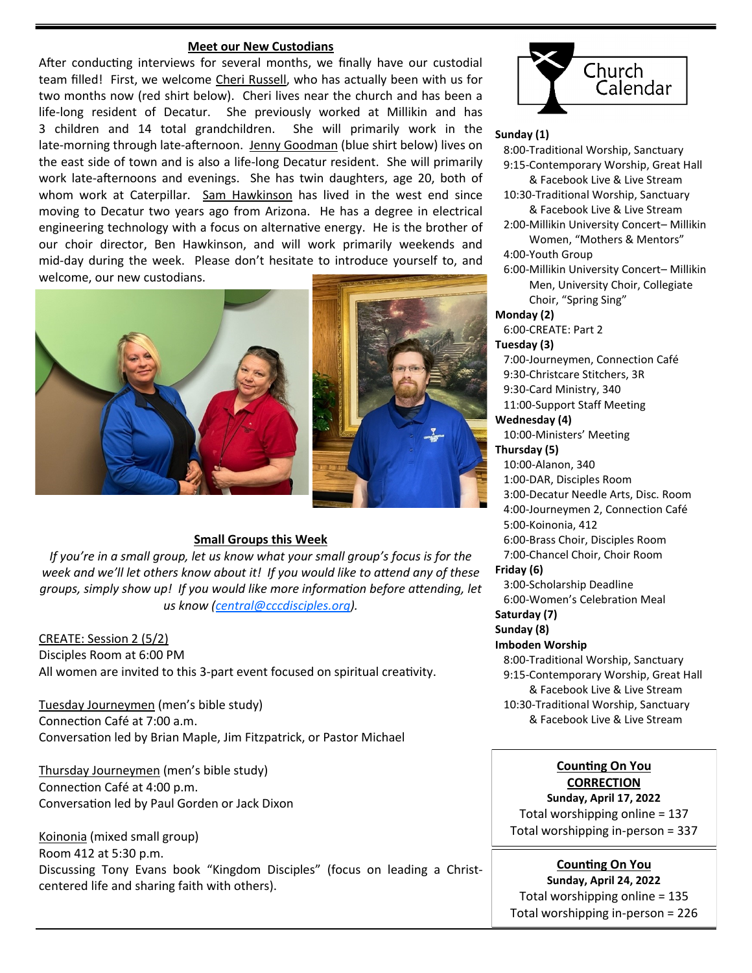#### **Meet our New Custodians**

After conducting interviews for several months, we finally have our custodial team filled! First, we welcome Cheri Russell, who has actually been with us for two months now (red shirt below). Cheri lives near the church and has been a life-long resident of Decatur. She previously worked at Millikin and has 3 children and 14 total grandchildren. She will primarily work in the late-morning through late-afternoon. Jenny Goodman (blue shirt below) lives on the east side of town and is also a life-long Decatur resident. She will primarily work late-afternoons and evenings. She has twin daughters, age 20, both of whom work at Caterpillar. Sam Hawkinson has lived in the west end since moving to Decatur two years ago from Arizona. He has a degree in electrical engineering technology with a focus on alternative energy. He is the brother of our choir director, Ben Hawkinson, and will work primarily weekends and mid-day during the week. Please don't hesitate to introduce yourself to, and welcome, our new custodians.





#### **Small Groups this Week**

*If you're in a small group, let us know what your small group's focus is for the week and we'll let others know about it! If you would like to attend any of these groups, simply show up! If you would like more information before attending, let us know ([central@cccdisciples.org\).](mailto:central@cccdisciples.org)* 

CREATE: Session 2 (5/2) Disciples Room at 6:00 PM All women are invited to this 3-part event focused on spiritual creativity.

Tuesday Journeymen (men's bible study) Connection Café at 7:00 a.m. Conversation led by Brian Maple, Jim Fitzpatrick, or Pastor Michael

Thursday Journeymen (men's bible study) Connection Café at 4:00 p.m. Conversation led by Paul Gorden or Jack Dixon

Koinonia (mixed small group) Room 412 at 5:30 p.m. Discussing Tony Evans book "Kingdom Disciples" (focus on leading a Christcentered life and sharing faith with others).



#### **Sunday (1)**

 8:00-Traditional Worship, Sanctuary 9:15-Contemporary Worship, Great Hall & Facebook Live & Live Stream 10:30-Traditional Worship, Sanctuary & Facebook Live & Live Stream 2:00-Millikin University Concert– Millikin Women, "Mothers & Mentors" 4:00-Youth Group 6:00-Millikin University Concert– Millikin Men, University Choir, Collegiate Choir, "Spring Sing" **Monday (2)** 6:00-CREATE: Part 2 **Tuesday (3)** 7:00-Journeymen, Connection Café 9:30-Christcare Stitchers, 3R 9:30-Card Ministry, 340 11:00-Support Staff Meeting **Wednesday (4)** 10:00-Ministers' Meeting **Thursday (5)** 10:00-Alanon, 340 1:00-DAR, Disciples Room 3:00-Decatur Needle Arts, Disc. Room 4:00-Journeymen 2, Connection Café 5:00-Koinonia, 412 6:00-Brass Choir, Disciples Room 7:00-Chancel Choir, Choir Room **Friday (6)** 3:00-Scholarship Deadline 6:00-Women's Celebration Meal **Saturday (7) Sunday (8) Imboden Worship** 8:00-Traditional Worship, Sanctuary 9:15-Contemporary Worship, Great Hall & Facebook Live & Live Stream 10:30-Traditional Worship, Sanctuary & Facebook Live & Live Stream

## **Counting On You CORRECTION**

**Sunday, April 17, 2022** Total worshipping online = 137 Total worshipping in-person = 337

**Counting On You Sunday, April 24, 2022** Total worshipping online = 135 Total worshipping in-person = 226